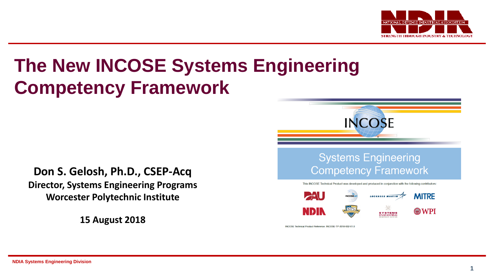

# **The New INCOSE Systems Engineering Competency Framework**

**Don S. Gelosh, Ph.D., CSEP-Acq Director, Systems Engineering Programs Worcester Polytechnic Institute**

**15 August 2018**

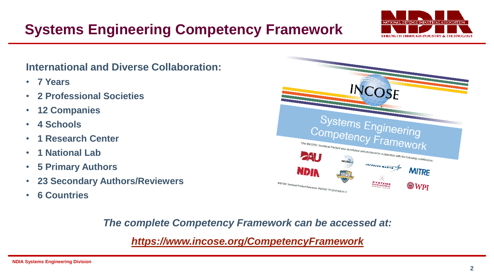## **Systems Engineering Competency Framework**



#### **International and Diverse Collaboration:**

- **7 Years**
- **2 Professional Societies**
- **12 Companies**
- **4 Schools**
- **1 Research Center**
- **1 National Lab**
- **5 Primary Authors**
- **23 Secondary Authors/Reviewers**
- **6 Countries**



*The complete Competency Framework can be accessed at:* 

*<https://www.incose.org/CompetencyFramework>*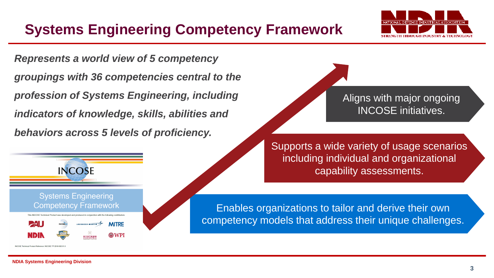## **Systems Engineering Competency Framework**

*Represents a world view of 5 competency groupings with 36 competencies central to the profession of Systems Engineering, including indicators of knowledge, skills, abilities and behaviors across 5 levels of proficiency.*



Supports a wide variety of usage scenarios including individual and organizational capability assessments.



Enables organizations to tailor and derive their own competency models that address their unique challenges.

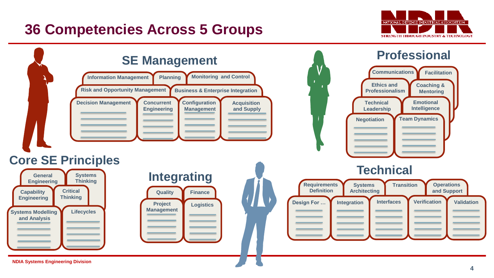## **36 Competencies Across 5 Groups**



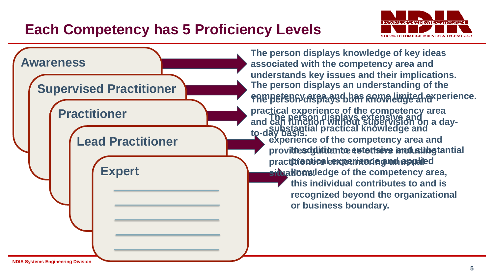## **Each Competency has 5 Proficiency Levels**



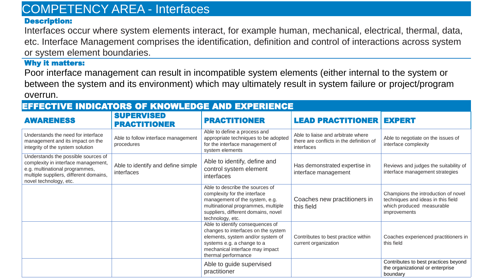### COMPETENCY AREA - Interfaces

#### Description:

Interfaces occur where system elements interact, for example human, mechanical, electrical, thermal, data, etc. Interface Management comprises the identification, definition and control of interactions across system or system element boundaries.

#### Why it matters:

Poor interface management can result in incompatible system elements (either internal to the system or between the system and its environment) which may ultimately result in system failure or project/program overrun.

| <b>AWARENESS</b>                                                                                                                                                                 | <b>SUPERVISED</b><br><b>PRACTITIONER</b>          | <b>PRACTITIONER</b>                                                                                                                                                                                  | <b>LEAD PRACTITIONER EXPERT</b>                                                              |                                                                                                                        |
|----------------------------------------------------------------------------------------------------------------------------------------------------------------------------------|---------------------------------------------------|------------------------------------------------------------------------------------------------------------------------------------------------------------------------------------------------------|----------------------------------------------------------------------------------------------|------------------------------------------------------------------------------------------------------------------------|
| Understands the need for interface<br>management and its impact on the<br>integrity of the system solution                                                                       | Able to follow interface management<br>procedures | Able to define a process and<br>appropriate techniques to be adopted<br>for the interface management of<br>system elements                                                                           | Able to liaise and arbitrate where<br>there are conflicts in the definition of<br>interfaces | Able to negotiate on the issues of<br>interface complexity                                                             |
| Understands the possible sources of<br>complexity in interface management,<br>e.g. multinational programmes,<br>multiple suppliers, different domains,<br>novel technology, etc. | Able to identify and define simple<br>interfaces  | Able to identify, define and<br>control system element<br>interfaces                                                                                                                                 | Has demonstrated expertise in<br>interface management                                        | Reviews and judges the suitability of<br>interface management strategies                                               |
|                                                                                                                                                                                  |                                                   | Able to describe the sources of<br>complexity for the interface<br>management of the system, e.g.<br>multinational programmes, multiple<br>suppliers, different domains, novel<br>technology, etc.   | Coaches new practitioners in<br>this field                                                   | Champions the introduction of novel<br>techniques and ideas in this field<br>which produced measurable<br>improvements |
|                                                                                                                                                                                  |                                                   | Able to identify consequences of<br>changes to interfaces on the system<br>elements, system and/or system of<br>systems e.g. a change to a<br>mechanical interface may impact<br>thermal performance | Contributes to best practice within<br>current organization                                  | Coaches experienced practitioners in<br>this field                                                                     |
|                                                                                                                                                                                  |                                                   | Able to guide supervised<br>practitioner                                                                                                                                                             |                                                                                              | Contributes to best practices beyond<br>the organizational or enterprise<br>boundary                                   |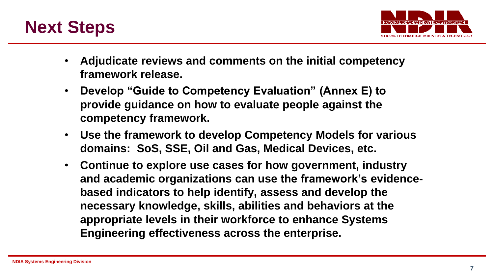



- **Adjudicate reviews and comments on the initial competency framework release.**
- **Develop "Guide to Competency Evaluation" (Annex E) to provide guidance on how to evaluate people against the competency framework.**
- **Use the framework to develop Competency Models for various domains: SoS, SSE, Oil and Gas, Medical Devices, etc.**
- **Continue to explore use cases for how government, industry and academic organizations can use the framework's evidencebased indicators to help identify, assess and develop the necessary knowledge, skills, abilities and behaviors at the appropriate levels in their workforce to enhance Systems Engineering effectiveness across the enterprise.**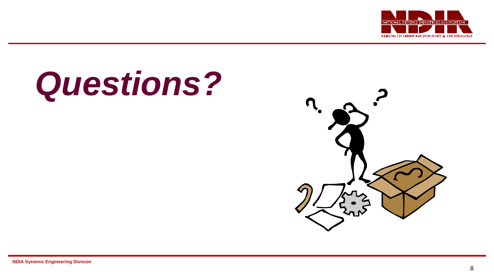

# *Questions?*